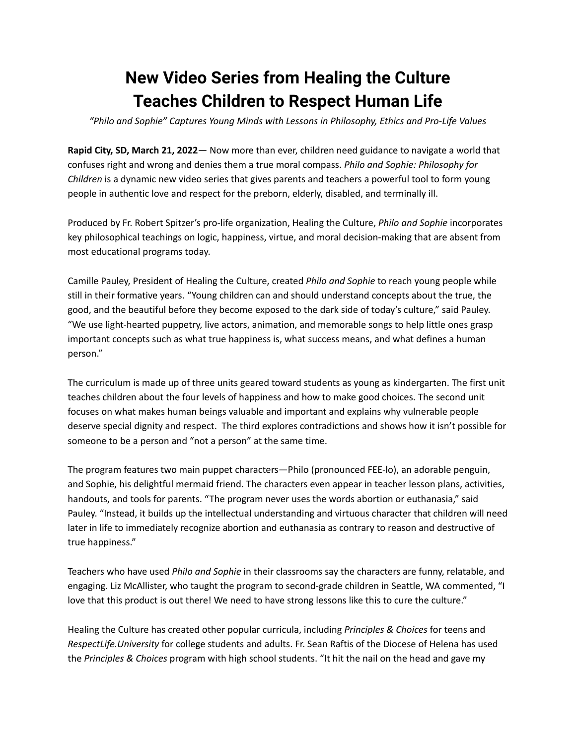## **New Video Series from Healing the Culture Teaches Children to Respect Human Life**

*"Philo and Sophie" Captures Young Minds with Lessons in Philosophy, Ethics and Pro-Life Values*

**Rapid City, SD, March 21, 2022**— Now more than ever, children need guidance to navigate a world that confuses right and wrong and denies them a true moral compass. *Philo and Sophie: Philosophy for Children* is a dynamic new video series that gives parents and teachers a powerful tool to form young people in authentic love and respect for the preborn, elderly, disabled, and terminally ill.

Produced by Fr. Robert Spitzer's pro-life organization, Healing the Culture, *Philo and Sophie* incorporates key philosophical teachings on logic, happiness, virtue, and moral decision-making that are absent from most educational programs today.

Camille Pauley, President of Healing the Culture, created *Philo and Sophie* to reach young people while still in their formative years. "Young children can and should understand concepts about the true, the good, and the beautiful before they become exposed to the dark side of today's culture," said Pauley. "We use light-hearted puppetry, live actors, animation, and memorable songs to help little ones grasp important concepts such as what true happiness is, what success means, and what defines a human person."

The curriculum is made up of three units geared toward students as young as kindergarten. The first unit teaches children about the four levels of happiness and how to make good choices. The second unit focuses on what makes human beings valuable and important and explains why vulnerable people deserve special dignity and respect. The third explores contradictions and shows how it isn't possible for someone to be a person and "not a person" at the same time.

The program features two main puppet characters—Philo (pronounced FEE-lo), an adorable penguin, and Sophie, his delightful mermaid friend. The characters even appear in teacher lesson plans, activities, handouts, and tools for parents. "The program never uses the words abortion or euthanasia," said Pauley. "Instead, it builds up the intellectual understanding and virtuous character that children will need later in life to immediately recognize abortion and euthanasia as contrary to reason and destructive of true happiness."

Teachers who have used *Philo and Sophie* in their classrooms say the characters are funny, relatable, and engaging. Liz McAllister, who taught the program to second-grade children in Seattle, WA commented, "I love that this product is out there! We need to have strong lessons like this to cure the culture."

Healing the Culture has created other popular curricula, including *Principles & Choices* for teens and *RespectLife.University* for college students and adults. Fr. Sean Raftis of the Diocese of Helena has used the *Principles & Choices* program with high school students. "It hit the nail on the head and gave my